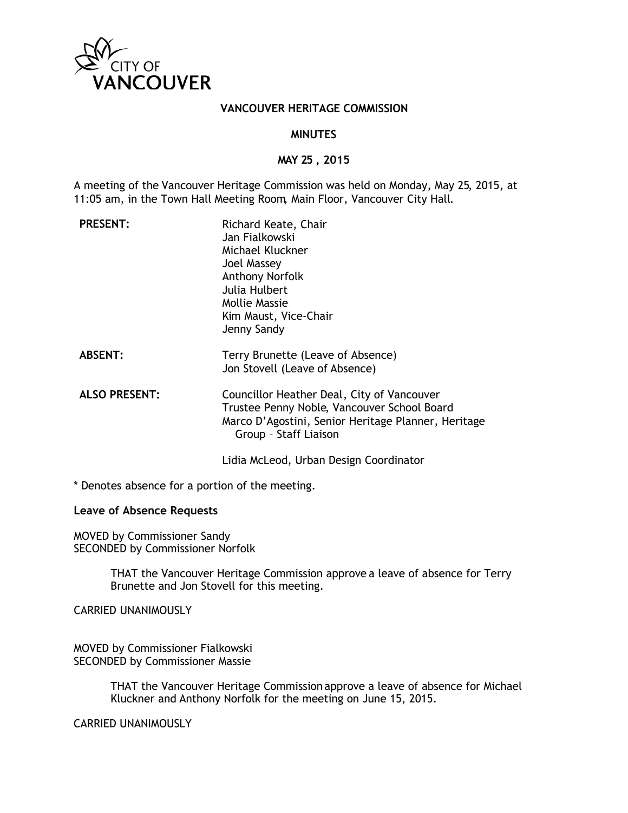

## **VANCOUVER HERITAGE COMMISSION**

## **MINUTES**

# **MAY 25 , 2015**

A meeting of the Vancouver Heritage Commission was held on Monday, May 25, 2015, at 11:05 am, in the Town Hall Meeting Room, Main Floor, Vancouver City Hall.

| <b>PRESENT:</b>      | Richard Keate, Chair<br>Jan Fialkowski<br>Michael Kluckner<br><b>Joel Massey</b><br><b>Anthony Norfolk</b><br>Julia Hulbert<br>Mollie Massie<br>Kim Maust, Vice-Chair<br>Jenny Sandy |
|----------------------|--------------------------------------------------------------------------------------------------------------------------------------------------------------------------------------|
| <b>ABSENT:</b>       | Terry Brunette (Leave of Absence)<br>Jon Stovell (Leave of Absence)                                                                                                                  |
| <b>ALSO PRESENT:</b> | Councillor Heather Deal, City of Vancouver<br>Trustee Penny Noble, Vancouver School Board<br>Marco D'Agostini, Senior Heritage Planner, Heritage<br>Group - Staff Liaison            |
|                      | Lidia McLeod, Urban Design Coordinator                                                                                                                                               |

\* Denotes absence for a portion of the meeting.

## **Leave of Absence Requests**

MOVED by Commissioner Sandy SECONDED by Commissioner Norfolk

> THAT the Vancouver Heritage Commission approve a leave of absence for Terry Brunette and Jon Stovell for this meeting.

CARRIED UNANIMOUSLY

MOVED by Commissioner Fialkowski SECONDED by Commissioner Massie

> THAT the Vancouver Heritage Commission approve a leave of absence for Michael Kluckner and Anthony Norfolk for the meeting on June 15, 2015.

CARRIED UNANIMOUSLY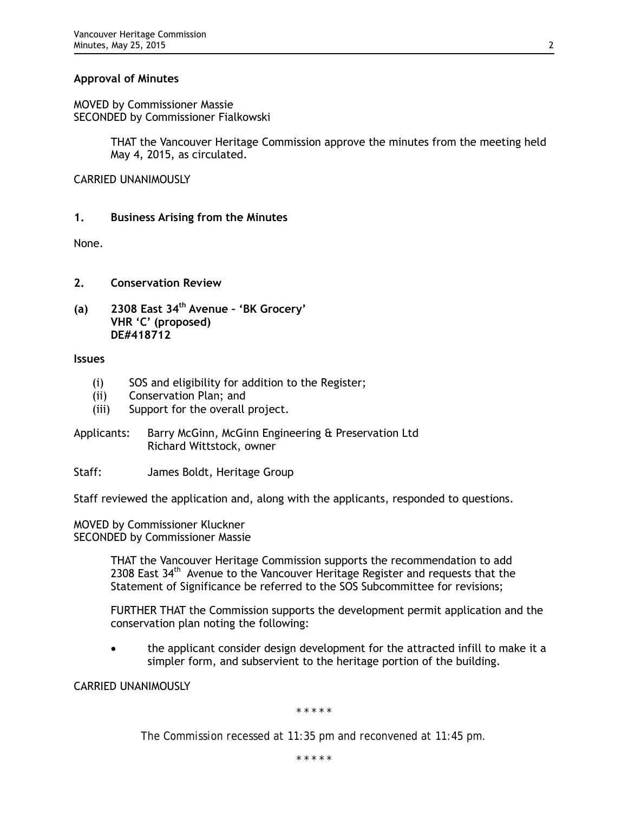# **Approval of Minutes**

MOVED by Commissioner Massie SECONDED by Commissioner Fialkowski

> THAT the Vancouver Heritage Commission approve the minutes from the meeting held May 4, 2015, as circulated.

CARRIED UNANIMOUSLY

# **1. Business Arising from the Minutes**

None.

- **2. Conservation Review**
- **(a) 2308 East 34th Avenue 'BK Grocery' VHR 'C' (proposed) DE#418712**

## **Issues**

- (i) SOS and eligibility for addition to the Register;
- (ii) Conservation Plan; and
- (iii) Support for the overall project.
- Applicants: Barry McGinn, McGinn Engineering & Preservation Ltd Richard Wittstock, owner
- Staff: James Boldt, Heritage Group

Staff reviewed the application and, along with the applicants, responded to questions.

MOVED by Commissioner Kluckner SECONDED by Commissioner Massie

> THAT the Vancouver Heritage Commission supports the recommendation to add 2308 East 34<sup>th</sup> Avenue to the Vancouver Heritage Register and requests that the Statement of Significance be referred to the SOS Subcommittee for revisions;

FURTHER THAT the Commission supports the development permit application and the conservation plan noting the following:

• the applicant consider design development for the attracted infill to make it a simpler form, and subservient to the heritage portion of the building.

CARRIED UNANIMOUSLY

*\* \* \* \* \**

*The Commission recessed at 11:35 pm and reconvened at 11:45 pm.*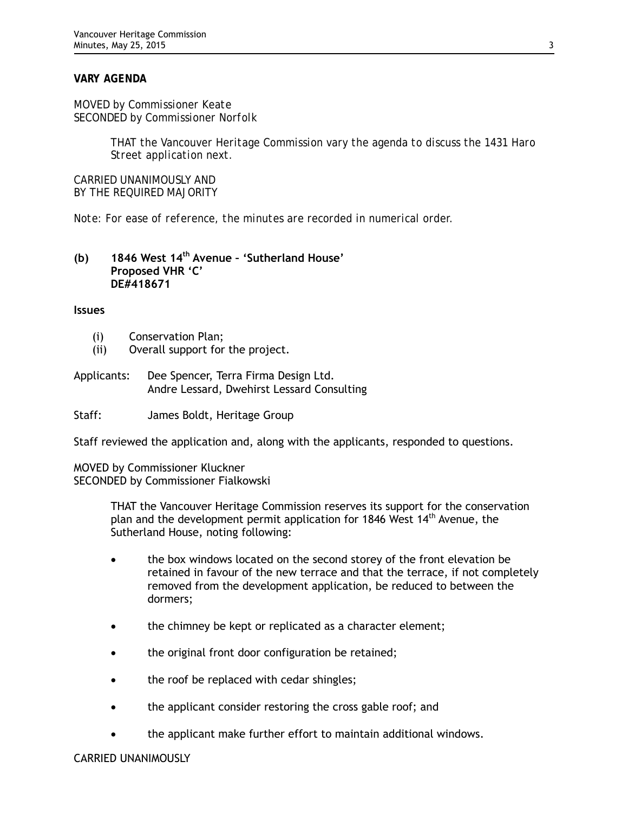# *VARY AGENDA*

*MOVED by Commissioner Keate SECONDED by Commissioner Norfolk*

> *THAT the Vancouver Heritage Commission vary the agenda to discuss the 1431 Haro Street application next.*

*CARRIED UNANIMOUSLY AND BY THE REQUIRED MAJORITY*

*Note: For ease of reference, the minutes are recorded in numerical order.*

## **(b) 1846 West 14th Avenue – 'Sutherland House' Proposed VHR 'C' DE#418671**

#### **Issues**

- (i) Conservation Plan;
- (ii) Overall support for the project.
- Applicants: Dee Spencer, Terra Firma Design Ltd. Andre Lessard, Dwehirst Lessard Consulting

Staff: James Boldt, Heritage Group

Staff reviewed the application and, along with the applicants, responded to questions.

MOVED by Commissioner Kluckner SECONDED by Commissioner Fialkowski

> THAT the Vancouver Heritage Commission reserves its support for the conservation plan and the development permit application for 1846 West 14<sup>th</sup> Avenue, the Sutherland House, noting following:

- the box windows located on the second storey of the front elevation be retained in favour of the new terrace and that the terrace, if not completely removed from the development application, be reduced to between the dormers;
- the chimney be kept or replicated as a character element;
- the original front door configuration be retained;
- the roof be replaced with cedar shingles;
- the applicant consider restoring the cross gable roof; and
- the applicant make further effort to maintain additional windows.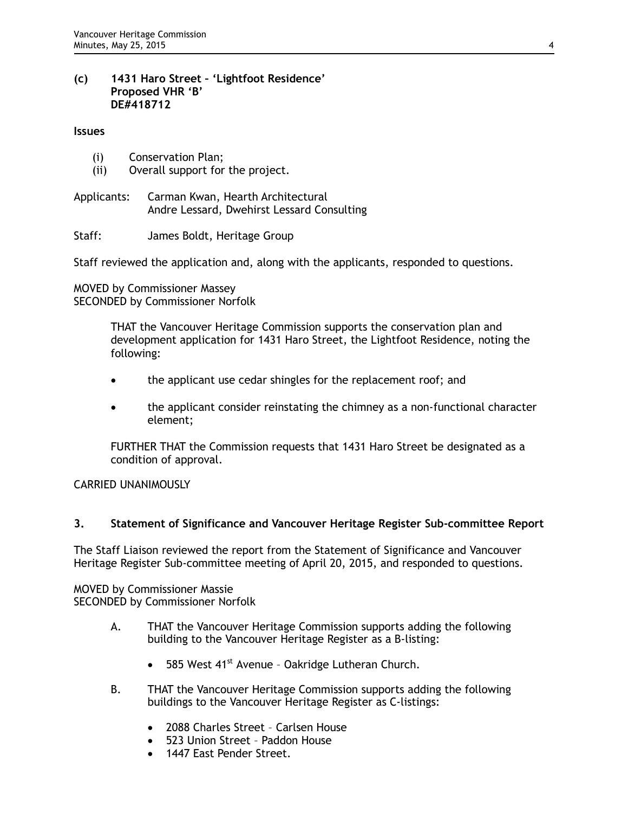## **(c) 1431 Haro Street – 'Lightfoot Residence' Proposed VHR 'B' DE#418712**

#### **Issues**

- (i) Conservation Plan;
- (ii) Overall support for the project.
- Applicants: Carman Kwan, Hearth Architectural Andre Lessard, Dwehirst Lessard Consulting

Staff: James Boldt, Heritage Group

Staff reviewed the application and, along with the applicants, responded to questions.

MOVED by Commissioner Massey SECONDED by Commissioner Norfolk

> THAT the Vancouver Heritage Commission supports the conservation plan and development application for 1431 Haro Street, the Lightfoot Residence, noting the following:

- the applicant use cedar shingles for the replacement roof; and
- the applicant consider reinstating the chimney as a non-functional character element;

FURTHER THAT the Commission requests that 1431 Haro Street be designated as a condition of approval.

## CARRIED UNANIMOUSLY

# **3. Statement of Significance and Vancouver Heritage Register Sub-committee Report**

The Staff Liaison reviewed the report from the Statement of Significance and Vancouver Heritage Register Sub-committee meeting of April 20, 2015, and responded to questions.

MOVED by Commissioner Massie SECONDED by Commissioner Norfolk

- A. THAT the Vancouver Heritage Commission supports adding the following building to the Vancouver Heritage Register as a B-listing:
	- 585 West 41<sup>st</sup> Avenue Oakridge Lutheran Church.
- B. THAT the Vancouver Heritage Commission supports adding the following buildings to the Vancouver Heritage Register as C-listings:
	- 2088 Charles Street Carlsen House
	- 523 Union Street Paddon House
	- 1447 East Pender Street.